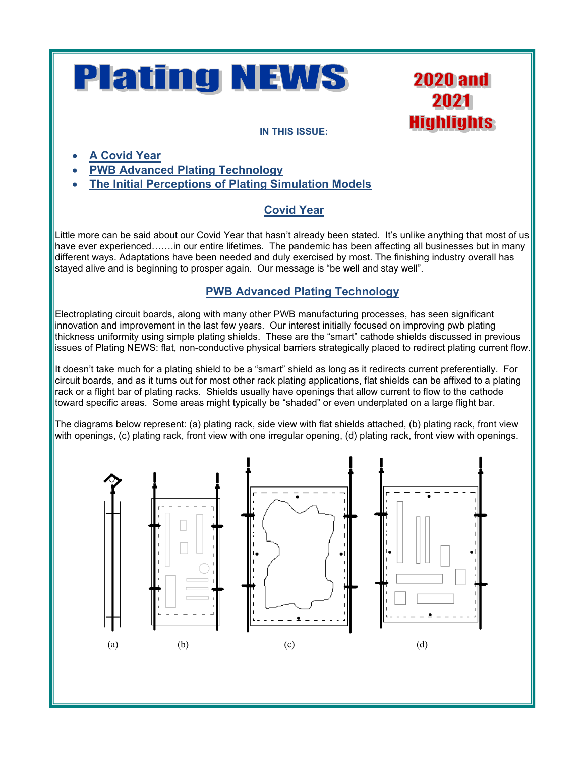# **Plating NEWS**

**2020 and** 2021 **Highlights** 

#### **IN THIS ISSUE:**

- **A Covid Year**
- **PWB Advanced Plating Technology**
- **The Initial Perceptions of Plating Simulation Models**

## **Covid Year**

Little more can be said about our Covid Year that hasn't already been stated. It's unlike anything that most of us have ever experienced…….in our entire lifetimes. The pandemic has been affecting all businesses but in many different ways. Adaptations have been needed and duly exercised by most. The finishing industry overall has stayed alive and is beginning to prosper again. Our message is "be well and stay well".

## **PWB Advanced Plating Technology**

Electroplating circuit boards, along with many other PWB manufacturing processes, has seen significant innovation and improvement in the last few years. Our interest initially focused on improving pwb plating thickness uniformity using simple plating shields. These are the "smart" cathode shields discussed in previous issues of Plating NEWS: flat, non-conductive physical barriers strategically placed to redirect plating current flow.

It doesn't take much for a plating shield to be a "smart" shield as long as it redirects current preferentially. For circuit boards, and as it turns out for most other rack plating applications, flat shields can be affixed to a plating rack or a flight bar of plating racks. Shields usually have openings that allow current to flow to the cathode toward specific areas. Some areas might typically be "shaded" or even underplated on a large flight bar.

The diagrams below represent: (a) plating rack, side view with flat shields attached, (b) plating rack, front view with openings, (c) plating rack, front view with one irregular opening, (d) plating rack, front view with openings.

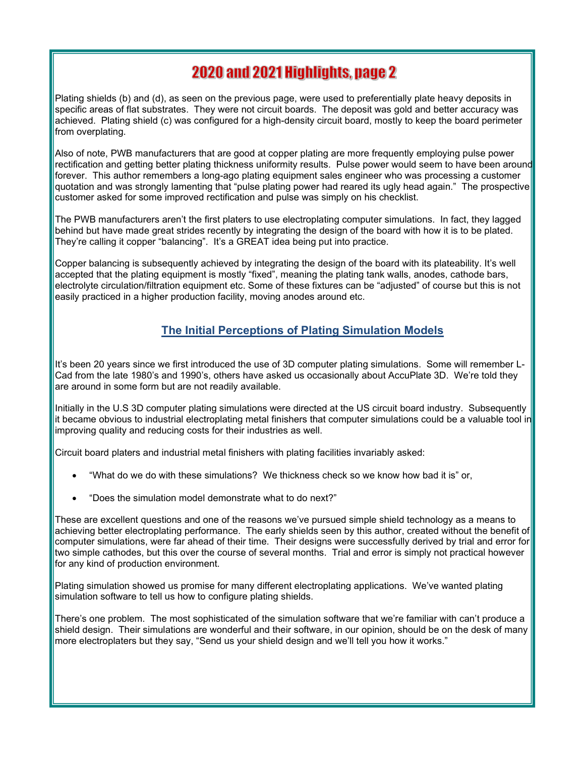# **2020 and 2021 Highlights, page 2**

Plating shields (b) and (d), as seen on the previous page, were used to preferentially plate heavy deposits in specific areas of flat substrates. They were not circuit boards. The deposit was gold and better accuracy was achieved. Plating shield (c) was configured for a high-density circuit board, mostly to keep the board perimeter from overplating.

Also of note, PWB manufacturers that are good at copper plating are more frequently employing pulse power rectification and getting better plating thickness uniformity results. Pulse power would seem to have been around forever. This author remembers a long-ago plating equipment sales engineer who was processing a customer quotation and was strongly lamenting that "pulse plating power had reared its ugly head again." The prospective customer asked for some improved rectification and pulse was simply on his checklist.

The PWB manufacturers aren't the first platers to use electroplating computer simulations. In fact, they lagged behind but have made great strides recently by integrating the design of the board with how it is to be plated. They're calling it copper "balancing". It's a GREAT idea being put into practice.

Copper balancing is subsequently achieved by integrating the design of the board with its plateability. It's well accepted that the plating equipment is mostly "fixed", meaning the plating tank walls, anodes, cathode bars, electrolyte circulation/filtration equipment etc. Some of these fixtures can be "adjusted" of course but this is not easily practiced in a higher production facility, moving anodes around etc.

### **The Initial Perceptions of Plating Simulation Models**

It's been 20 years since we first introduced the use of 3D computer plating simulations. Some will remember L-Cad from the late 1980's and 1990's, others have asked us occasionally about AccuPlate 3D. We're told they are around in some form but are not readily available.

Initially in the U.S 3D computer plating simulations were directed at the US circuit board industry. Subsequently it became obvious to industrial electroplating metal finishers that computer simulations could be a valuable tool in improving quality and reducing costs for their industries as well.

Circuit board platers and industrial metal finishers with plating facilities invariably asked:

- "What do we do with these simulations? We thickness check so we know how bad it is" or,
- "Does the simulation model demonstrate what to do next?"

These are excellent questions and one of the reasons we've pursued simple shield technology as a means to achieving better electroplating performance. The early shields seen by this author, created without the benefit of computer simulations, were far ahead of their time. Their designs were successfully derived by trial and error for two simple cathodes, but this over the course of several months. Trial and error is simply not practical however for any kind of production environment.

Plating simulation showed us promise for many different electroplating applications. We've wanted plating simulation software to tell us how to configure plating shields.

There's one problem. The most sophisticated of the simulation software that we're familiar with can't produce a shield design. Their simulations are wonderful and their software, in our opinion, should be on the desk of many more electroplaters but they say, "Send us your shield design and we'll tell you how it works."